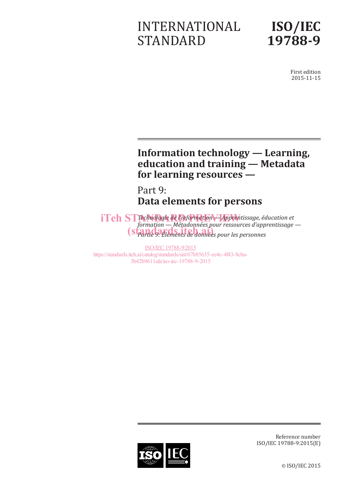# INTERNATIONAL STANDARD



First edition 2015-11-15

## **Information technology — Learning, education and training — Metadata for learning resources —**

Part 9: **Data elements for persons**

**Technologie de l'information** *—* Apprentissage, éducation et *formation — Métadonnées pour ressources d'apprentissage — Partie Presidences pour ressources a app*<br> **Standards.iteh.ai** 

ISO/IEC 19788-9:2015 https://standards.iteh.ai/catalog/standards/sist/67b85635-ee4c-4f43-8cba-3b42b9611afa/iso-iec-19788-9-2015



Reference number ISO/IEC 19788-9:2015(E)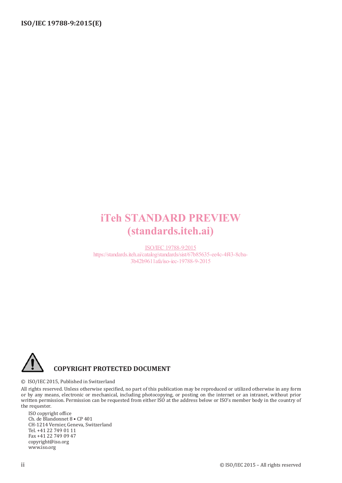## iTeh STANDARD PREVIEW (standards.iteh.ai)

ISO/IEC 19788-9:2015 https://standards.iteh.ai/catalog/standards/sist/67b85635-ee4c-4f43-8cba-3b42b9611afa/iso-iec-19788-9-2015



© ISO/IEC 2015, Published in Switzerland

All rights reserved. Unless otherwise specified, no part of this publication may be reproduced or utilized otherwise in any form or by any means, electronic or mechanical, including photocopying, or posting on the internet or an intranet, without prior written permission. Permission can be requested from either ISO at the address below or ISO's member body in the country of the requester.

ISO copyright office Ch. de Blandonnet 8 • CP 401 CH-1214 Vernier, Geneva, Switzerland Tel. +41 22 749 01 11 Fax +41 22 749 09 47 copyright@iso.org www.iso.org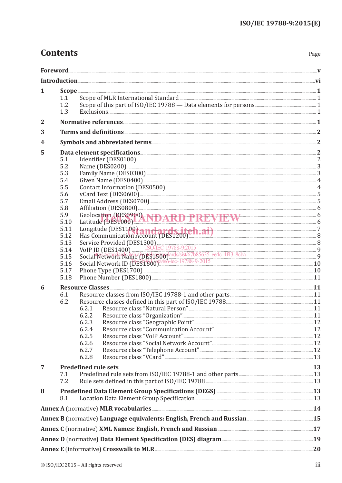## **Contents**

Page

| 1 | 1.1<br>1.2<br>1.3                                                                                                                   |                                                                                                                                                                                                                                                                                                                                                                            |  |
|---|-------------------------------------------------------------------------------------------------------------------------------------|----------------------------------------------------------------------------------------------------------------------------------------------------------------------------------------------------------------------------------------------------------------------------------------------------------------------------------------------------------------------------|--|
| 2 |                                                                                                                                     |                                                                                                                                                                                                                                                                                                                                                                            |  |
| 3 |                                                                                                                                     |                                                                                                                                                                                                                                                                                                                                                                            |  |
| 4 |                                                                                                                                     |                                                                                                                                                                                                                                                                                                                                                                            |  |
| 5 | 5.1<br>5.2<br>5.3<br>5.4<br>5.5<br>5.6<br>5.7<br>5.8<br>5.9<br>5.10<br>5.11<br>5.12<br>5.13<br>5.14<br>5.15<br>5.16<br>5.17<br>5.18 | Data element specifications 22<br>Geolocation (DES0900)<br>Latitude (DES1000)<br>6<br>Longitude (DES1100)<br>Has Communication Account (DES1200)<br>Service Provided (DES1300)<br>VoIP ID (DES1400) <u>ISO/IEC 19788-92015</u><br>Social Network Name (DES1600) and Sist/67b85635-ee4c-4f43-8cba-0<br>Social Network ID (DES1600) and Sist/67b85635-ee4c-4f43-8cba-0<br>10 |  |
| 6 | 6.1<br>6.2                                                                                                                          | Resource classes from ISO/IEC 19788-1 and other parts <b>Manual Community</b> 11<br>6.2.1<br>6.2.2<br>6.2.4<br>6.2.5<br>6.2.6<br>6.2.7<br>6.2.8                                                                                                                                                                                                                            |  |
| 7 | 7.1<br>7.2                                                                                                                          |                                                                                                                                                                                                                                                                                                                                                                            |  |
| 8 | 8.1                                                                                                                                 | Predefined Data Element Group Specifications (DEGS) <b>Manufation</b> 23                                                                                                                                                                                                                                                                                                   |  |
|   |                                                                                                                                     |                                                                                                                                                                                                                                                                                                                                                                            |  |
|   |                                                                                                                                     |                                                                                                                                                                                                                                                                                                                                                                            |  |
|   |                                                                                                                                     | Annex C (normative) XML Names: English, French and Russian <b>Manual Annex C</b> (normative) XML Names: English, French and Russian <b>Manual Annex 17</b>                                                                                                                                                                                                                 |  |
|   |                                                                                                                                     | Annex D (normative) Data Element Specification (DES) diagram <b>Element Specification</b> (DES) diagram                                                                                                                                                                                                                                                                    |  |
|   |                                                                                                                                     |                                                                                                                                                                                                                                                                                                                                                                            |  |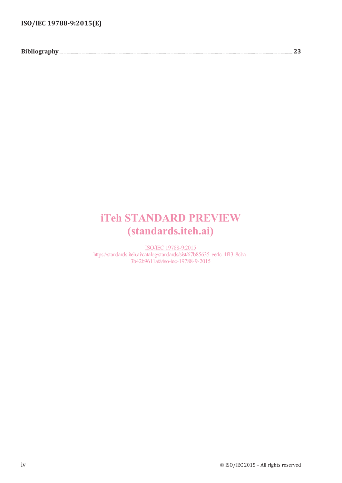### **ISO/IEC 19788-9:2015(E)**

**Bibliography**.............................................................................................................................................................................................................................**23**

## iTeh STANDARD PREVIEW (standards.iteh.ai)

ISO/IEC 19788-9:2015 https://standards.iteh.ai/catalog/standards/sist/67b85635-ee4c-4f43-8cba-3b42b9611afa/iso-iec-19788-9-2015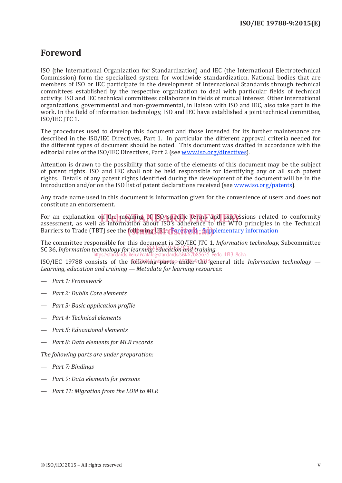## **Foreword**

ISO (the International Organization for Standardization) and IEC (the International Electrotechnical Commission) form the specialized system for worldwide standardization. National bodies that are members of ISO or IEC participate in the development of International Standards through technical committees established by the respective organization to deal with particular fields of technical activity. ISO and IEC technical committees collaborate in fields of mutual interest. Other international organizations, governmental and non-governmental, in liaison with ISO and IEC, also take part in the work. In the field of information technology, ISO and IEC have established a joint technical committee, ISO/IEC JTC 1.

The procedures used to develop this document and those intended for its further maintenance are described in the ISO/IEC Directives, Part 1. In particular the different approval criteria needed for the different types of document should be noted. This document was drafted in accordance with the editorial rules of the ISO/IEC Directives, Part 2 (see www.iso.org/directives).

Attention is drawn to the possibility that some of the elements of this document may be the subject of patent rights. ISO and IEC shall not be held responsible for identifying any or all such patent rights. Details of any patent rights identified during the development of the document will be in the Introduction and/or on the ISO list of patent declarations received (see www.iso.org/patents).

Any trade name used in this document is information given for the convenience of users and does not constitute an endorsement.

For an explanation on the meaning of ISO/specific terms and expressions related to conformity<br>assessment as well as information about ISO's adherence to the WTO principles in the Technical assessment, as well as information about ISO's adherence to the WTO principles in the Technical Barriers to Trade (TBT) see the **following URI: Foreword - Supplementary** information

The committee responsible for this document is ISO/IEC JTC 1, *Information technology*, Subcommittee ISO 36, *Information technology for learning, education and training.* https://standards.iteh.ai/catalog/standards/sist/67b85635-ee4c-4f43-8cba-

ISO/IEC 19788 consists of the following parts, under the seneral title *Information technology* — *Learning, education and training — Metadata for learning resources:*

- *Part 1: Framework*
- *Part 2: Dublin Core elements*
- *Part 3: Basic application profile*
- *Part 4: Technical elements*
- *Part 5: Educational elements*
- *Part 8: Data elements for MLR records*

*The following parts are under preparation:*

- *Part 7: Bindings*
- *Part 9: Data elements for persons*
- *Part 11: Migration from the LOM to MLR*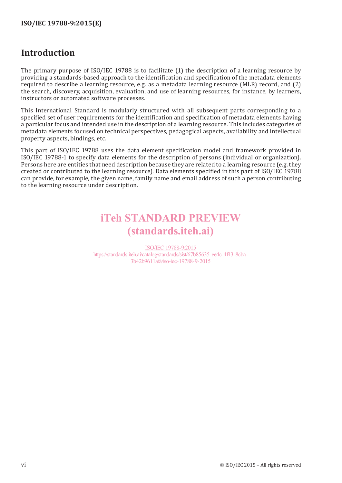## **Introduction**

The primary purpose of ISO/IEC 19788 is to facilitate (1) the description of a learning resource by providing a standards-based approach to the identification and specification of the metadata elements required to describe a learning resource, e.g. as a metadata learning resource (MLR) record, and (2) the search, discovery, acquisition, evaluation, and use of learning resources, for instance, by learners, instructors or automated software processes.

This International Standard is modularly structured with all subsequent parts corresponding to a specified set of user requirements for the identification and specification of metadata elements having a particular focus and intended use in the description of a learning resource. This includes categories of metadata elements focused on technical perspectives, pedagogical aspects, availability and intellectual property aspects, bindings, etc.

This part of ISO/IEC 19788 uses the data element specification model and framework provided in ISO/IEC 19788-1 to specify data elements for the description of persons (individual or organization). Persons here are entities that need description because they are related to a learning resource (e.g. they created or contributed to the learning resource). Data elements specified in this part of ISO/IEC 19788 can provide, for example, the given name, family name and email address of such a person contributing to the learning resource under description.

## iTeh STANDARD PREVIEW (standards.iteh.ai)

ISO/IEC 19788-9:2015 https://standards.iteh.ai/catalog/standards/sist/67b85635-ee4c-4f43-8cba-3b42b9611afa/iso-iec-19788-9-2015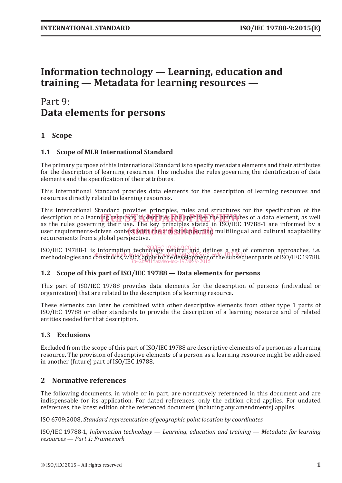## **Information technology — Learning, education and training — Metadata for learning resources —**

## Part 9: **Data elements for persons**

### **1 Scope**

### **1.1 Scope of MLR International Standard**

The primary purpose of this International Standard is to specify metadata elements and their attributes for the description of learning resources. This includes the rules governing the identification of data elements and the specification of their attributes.

This International Standard provides data elements for the description of learning resources and resources directly related to learning resources.

This International Standard provides principles, rules and structures for the specification of the description of a learning resource; it identifies and specifies the attributes of a data element, as well<br>as the rules governing their use. The key principles stated in ISO/IEC 19788-1, are informed by a as the rules governing their use. The key principles stated in ISO/IEC 19788-1 are informed by a as the rules governing their use. The key principles stated in 150/122 17700 1 are informed by a<br>user requirements-driven context with the aim of supporting multilingual and cultural adaptability requirements from a global perspective.

ISO/IEC 19788-1 is information technology neutral and defines a set of common approaches, i.e. https://standard.item.ai/catalogies.com/interest.com/interest.com/interest.com/interest.com/interest.com/inter<br>methodologies and constructs, which apply to the development of the subsequent parts of ISO/IEC 19788. 3b42b9611afa/iso-iec-19788-9-2015

#### **1.2 Scope of this part of ISO/IEC 19788 — Data elements for persons**

This part of ISO/IEC 19788 provides data elements for the description of persons (individual or organization) that are related to the description of a learning resource.

These elements can later be combined with other descriptive elements from other type 1 parts of ISO/IEC 19788 or other standards to provide the description of a learning resource and of related entities needed for that description.

#### **1.3 Exclusions**

Excluded from the scope of this part of ISO/IEC 19788 are descriptive elements of a person as a learning resource. The provision of descriptive elements of a person as a learning resource might be addressed in another (future) part of ISO/IEC 19788.

### **2 Normative references**

The following documents, in whole or in part, are normatively referenced in this document and are indispensable for its application. For dated references, only the edition cited applies. For undated references, the latest edition of the referenced document (including any amendments) applies.

ISO 6709:2008, *Standard representation of geographic point location by coordinates*

ISO/IEC 19788-1, *Information technology — Learning, education and training — Metadata for learning resources — Part 1: Framework*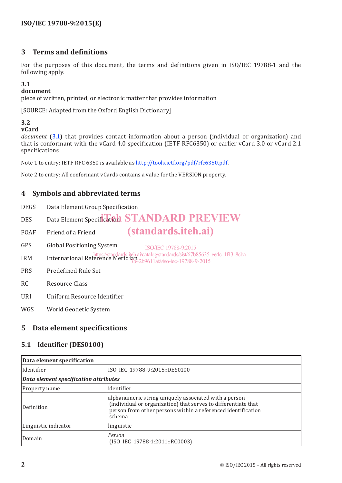### **3 Terms and definitions**

For the purposes of this document, the terms and definitions given in ISO/IEC 19788-1 and the following apply.

#### **3.1**

#### **document**

piece of written, printed, or electronic matter that provides information

[SOURCE: Adapted from the Oxford English Dictionary]

#### **3.2**

**vCard**

*document* (3.1) that provides contact information about a person (individual or organization) and that is conformant with the vCard 4.0 specification (IETF RFC6350) or earlier vCard 3.0 or vCard 2.1 specifications

Note 1 to entry: IETF RFC 6350 is available as http://tools.ietf.org/pdf/rfc6350.pdf.

Note 2 to entry: All conformant vCards contains a value for the VERSION property.

### **4 Symbols and abbreviated terms**

| <b>DEGS</b>                      | Data Element Group Specification                                                                                                                |  |
|----------------------------------|-------------------------------------------------------------------------------------------------------------------------------------------------|--|
| <b>DES</b>                       | Data Element Specification STANDARD PREVIEW                                                                                                     |  |
| <b>FOAF</b>                      | <i>(standards.iteh.ai)</i><br>Friend of a Friend                                                                                                |  |
| GPS                              | <b>Global Positioning System</b><br><b>ISO/IEC 19788-9:2015</b>                                                                                 |  |
| <b>IRM</b>                       | https://standards.jteh.ai/catalog/standards/sist/67b85635-ee4c-4f43-8cba-<br>International Reference Meridian 3b42b9611afa/iso-iec-19788-9-2015 |  |
| <b>PRS</b>                       | Predefined Rule Set                                                                                                                             |  |
| RC.                              | Resource Class                                                                                                                                  |  |
| <b>URI</b>                       | Uniform Resource Identifier                                                                                                                     |  |
| WGS                              | World Geodetic System                                                                                                                           |  |
| Data element specifications<br>5 |                                                                                                                                                 |  |

### **5.1 Identifier (DES0100)**

| Data element specification |                                                                                                                                                                                                   |  |  |
|----------------------------|---------------------------------------------------------------------------------------------------------------------------------------------------------------------------------------------------|--|--|
| l Identifier               | ISO_IEC_19788-9:2015::DES0100                                                                                                                                                                     |  |  |
|                            | Data element specification attributes                                                                                                                                                             |  |  |
| Property name              | identifier                                                                                                                                                                                        |  |  |
| Definition                 | alphanumeric string uniquely associated with a person<br>(individual or organization) that serves to differentiate that<br>person from other persons within a referenced identification<br>schema |  |  |
| Linguistic indicator       | linguistic                                                                                                                                                                                        |  |  |
| Domain                     | Person<br>(ISO_IEC_19788-1:2011::RC0003)                                                                                                                                                          |  |  |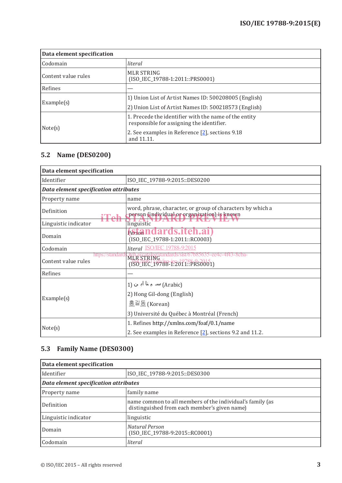| Data element specification |                                                                                                    |
|----------------------------|----------------------------------------------------------------------------------------------------|
| Codomain                   | literal                                                                                            |
| Content value rules        | <b>MLR STRING</b><br>(ISO_IEC_19788-1:2011::PRS0001)                                               |
| Refines                    |                                                                                                    |
|                            | 1) Union List of Artist Names ID: 500208005 (English)                                              |
| Example(s)                 | 2) Union List of Artist Names ID: 500218573 (English)                                              |
|                            | 1. Precede the identifier with the name of the entity<br>responsible for assigning the identifier. |
| Note(s)                    | 2. See examples in Reference $[2]$ , sections 9.18<br>and 11.11.                                   |

## **5.2 Name (DES0200)**

| Data element specification             |                                                                                                            |
|----------------------------------------|------------------------------------------------------------------------------------------------------------|
| Identifier                             | ISO_IEC_19788-9:2015::DES0200                                                                              |
| Data element specification attributes  |                                                                                                            |
| Property name                          | name                                                                                                       |
| Definition                             | word, phrase, character, or group of characters by which a<br>person (individual or organization) is known |
| Linguistic indicator                   | linguistic                                                                                                 |
| Domain                                 | <i><b>Festandards.itch.ai</b></i><br>(ISO_IEC_19788-1:2011::RC0003)                                        |
| Codomain                               | literal ISO/IEC 19788-9:2015                                                                               |
| https://standai<br>Content value rules | ee4c-4t43-8cba-<br>MLR STRING<br>$(150)^{126}$ $(19788)^{120}$ $(2011)^{86}$ $R5000$ 1)                    |
| Refines                                |                                                                                                            |
|                                        | <sub>(Arabic</sub> ) سـ ينا ابـن <sub>(1</sub>                                                             |
| Example(s)                             | 2) Hong Gil-dong (English)                                                                                 |
|                                        | <u>홍길동</u> (Korean)                                                                                        |
|                                        | 3) Université du Québec à Montréal (French)                                                                |
|                                        | 1. Refines http://xmlns.com/foaf/0.1/name                                                                  |
| Note(s)                                | 2. See examples in Reference $[2]$ , sections 9.2 and 11.2.                                                |

## **5.3 Family Name (DES0300)**

| Data element specification            |                                                                                                           |  |
|---------------------------------------|-----------------------------------------------------------------------------------------------------------|--|
| l Identifier                          | ISO_IEC_19788-9:2015::DES0300                                                                             |  |
| Data element specification attributes |                                                                                                           |  |
| Property name                         | family name                                                                                               |  |
| Definition                            | name common to all members of the individual's family (as<br>distinguished from each member's given name) |  |
| Linguistic indicator                  | linguistic                                                                                                |  |
| Domain                                | Natural Person<br>$(ISO_{1}EC_{1}9788-9:2015::RC0001)$                                                    |  |
| Codomain                              | literal                                                                                                   |  |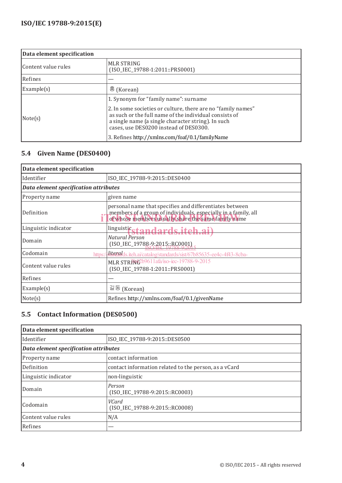| Data element specification |                                                                                                                                                                                                                        |
|----------------------------|------------------------------------------------------------------------------------------------------------------------------------------------------------------------------------------------------------------------|
| Content value rules        | <b>MLR STRING</b><br>$(ISO_{1}EC_{1}9788-1:2011::PRS0001)$                                                                                                                                                             |
| Refines                    |                                                                                                                                                                                                                        |
| Example(s)                 | 홍 (Korean)                                                                                                                                                                                                             |
|                            | 1. Synonym for "family name": surname                                                                                                                                                                                  |
| Note(s)                    | 2. In some societies or culture, there are no "family names"<br>as such or the full name of the individual consists of<br>a single name (a single character string). In such<br>cases, use DES0200 instead of DES0300. |
|                            | 3. Refines http://xmlns.com/foaf/0.1/familyName                                                                                                                                                                        |

### **5.4 Given Name (DES0400)**

| Data element specification            |                                                                                                                                                                                  |  |
|---------------------------------------|----------------------------------------------------------------------------------------------------------------------------------------------------------------------------------|--|
| Identifier                            | ISO_IEC_19788-9:2015::DES0400                                                                                                                                                    |  |
| Data element specification attributes |                                                                                                                                                                                  |  |
| Property name                         | given name                                                                                                                                                                       |  |
| Definition                            | personal name that specifies and differentiates between<br>members of a group of individuals, especially in a family, all<br>of whose members usually share the same family name |  |
| Linguistic indicator                  | linguistic <sub>standards.iteh.ai</sub> )                                                                                                                                        |  |
| Domain                                | Natural Person<br>(ISO_IEC_19788-9:2015;;RC0001)                                                                                                                                 |  |
| Codomain<br>https:                    | ditenuids.iteh.ai/catalog/standards/sist/67b85635-ee4c-4f43-8cba-                                                                                                                |  |
| Content value rules                   | MLR STRÎNG2b9611afa/iso-iec-19788-9-2015<br>(ISO_IEC_19788-1:2011::PRS0001)                                                                                                      |  |
| Refines                               |                                                                                                                                                                                  |  |
| Example(s)                            | 길동 (Korean)                                                                                                                                                                      |  |
| Note(s)                               | Refines http://xmlns.com/foaf/0.1/givenName                                                                                                                                      |  |

## **5.5 Contact Information (DES0500)**

| Data element specification            |                                                       |  |
|---------------------------------------|-------------------------------------------------------|--|
| Identifier                            | ISO_IEC_19788-9:2015::DES0500                         |  |
| Data element specification attributes |                                                       |  |
| Property name                         | contact information                                   |  |
| Definition                            | contact information related to the person, as a vCard |  |
| Linguistic indicator                  | non-linguistic                                        |  |
| Domain                                | Person<br>(ISO_IEC_19788-9:2015::RC0003)              |  |
| Codomain                              | <i>VCard</i><br>(ISO_IEC_19788-9:2015::RC0008)        |  |
| Content value rules                   | N/A                                                   |  |
| Refines                               |                                                       |  |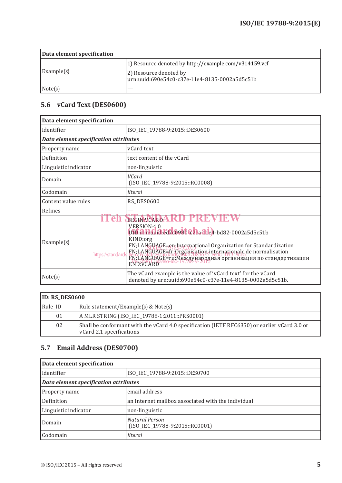| Data element specification |                                                                         |
|----------------------------|-------------------------------------------------------------------------|
|                            | 1) Resource denoted by http://example.com/v314159.vcf                   |
| Example(s)                 | 2) Resource denoted by<br>urn:uuid:690e54c0-c37e-11e4-8135-0002a5d5c51b |
| Note(s)                    |                                                                         |

## **5.6 vCard Text (DES0600)**

| Data element specification                      |                                                                                                                                                                                                                                                                                                                    |  |
|-------------------------------------------------|--------------------------------------------------------------------------------------------------------------------------------------------------------------------------------------------------------------------------------------------------------------------------------------------------------------------|--|
| Identifier                                      | ISO_IEC_19788-9:2015::DES0600                                                                                                                                                                                                                                                                                      |  |
| Data element specification attributes           |                                                                                                                                                                                                                                                                                                                    |  |
| Property name                                   | vCard text                                                                                                                                                                                                                                                                                                         |  |
| Definition                                      | text content of the vCard                                                                                                                                                                                                                                                                                          |  |
| Linguistic indicator                            | non-linguistic                                                                                                                                                                                                                                                                                                     |  |
| Domain                                          | <b>VCard</b><br>(ISO_IEC_19788-9:2015::RC0008)                                                                                                                                                                                                                                                                     |  |
| Codomain                                        | literal                                                                                                                                                                                                                                                                                                            |  |
| Content value rules                             | <b>RS_DES0600</b>                                                                                                                                                                                                                                                                                                  |  |
| Refines                                         |                                                                                                                                                                                                                                                                                                                    |  |
| <b>i Feh</b><br>Example(s)<br>https://standards | <b>BEGIN VCARDAKU P</b><br>VERSION:4.0<br>010.arh.u.id.ed2e0980 c2ca 41eA-bd82-0002a5d5c51b<br>KIND:org<br>FN;LANGUAGE=en:International Organization for Standardization<br>FN;LANGUAGE=fr;Organisation internationale de normalisation<br>ЕN;LANGUAGE=ru:Мехдународная организация по стандартизации<br>END:VCARD |  |
| Note(s)                                         | The vCard example is the value of 'vCard text' for the vCard<br>denoted by urn:uuid:690e54c0-c37e-11e4-8135-0002a5d5c51b.                                                                                                                                                                                          |  |

| <b>ID: RS_DES0600</b> |                                                                                                                         |  |
|-----------------------|-------------------------------------------------------------------------------------------------------------------------|--|
| Rule_ID               | Rule statement/Example(s) & Note(s)                                                                                     |  |
| 01                    | A MLR STRING (ISO_IEC_19788-1:2011::PRS0001)                                                                            |  |
| 02                    | Shall be conformant with the vCard 4.0 specification (IETF RFC6350) or earlier vCard 3.0 or<br>vCard 2.1 specifications |  |

### **5.7 Email Address (DES0700)**

| Data element specification            |                                                    |  |
|---------------------------------------|----------------------------------------------------|--|
| l Identifier                          | ISO_IEC_19788-9:2015::DES0700                      |  |
| Data element specification attributes |                                                    |  |
| Property name                         | email address                                      |  |
| Definition                            | an Internet mailbox associated with the individual |  |
| Linguistic indicator                  | non-linguistic                                     |  |
| Domain                                | Natural Person<br>(ISO_IEC_19788-9:2015::RC0001)   |  |
| Codomain                              | literal                                            |  |